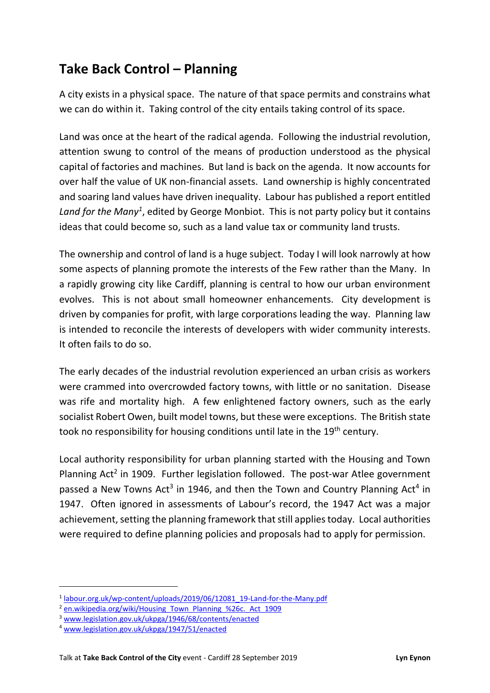## Take Back Control – Planning

A city exists in a physical space. The nature of that space permits and constrains what we can do within it. Taking control of the city entails taking control of its space.

Land was once at the heart of the radical agenda. Following the industrial revolution, attention swung to control of the means of production understood as the physical capital of factories and machines. But land is back on the agenda. It now accounts for over half the value of UK non-financial assets. Land ownership is highly concentrated and soaring land values have driven inequality. Labour has published a report entitled Land for the Many<sup>1</sup>, edited by George Monbiot. This is not party policy but it contains ideas that could become so, such as a land value tax or community land trusts.

The ownership and control of land is a huge subject. Today I will look narrowly at how some aspects of planning promote the interests of the Few rather than the Many. In a rapidly growing city like Cardiff, planning is central to how our urban environment evolves. This is not about small homeowner enhancements. City development is driven by companies for profit, with large corporations leading the way. Planning law is intended to reconcile the interests of developers with wider community interests. It often fails to do so.

The early decades of the industrial revolution experienced an urban crisis as workers were crammed into overcrowded factory towns, with little or no sanitation. Disease was rife and mortality high. A few enlightened factory owners, such as the early socialist Robert Owen, built model towns, but these were exceptions. The British state took no responsibility for housing conditions until late in the 19<sup>th</sup> century.

Local authority responsibility for urban planning started with the Housing and Town Planning  $Act^2$  in 1909. Further legislation followed. The post-war Atlee government passed a New Towns Act<sup>3</sup> in 1946, and then the Town and Country Planning Act<sup>4</sup> in 1947. Often ignored in assessments of Labour's record, the 1947 Act was a major achievement, setting the planning framework that still applies today. Local authorities were required to define planning policies and proposals had to apply for permission.

<sup>&</sup>lt;sup>1</sup> labour.org.uk/wp-content/uploads/2019/06/12081\_19-Land-for-the-Many.pdf

<sup>&</sup>lt;sup>2</sup> en.wikipedia.org/wiki/Housing\_Town\_Planning\_%26c.\_Act\_1909

<sup>3</sup> www.legislation.gov.uk/ukpga/1946/68/contents/enacted

<sup>4</sup> www.legislation.gov.uk/ukpga/1947/51/enacted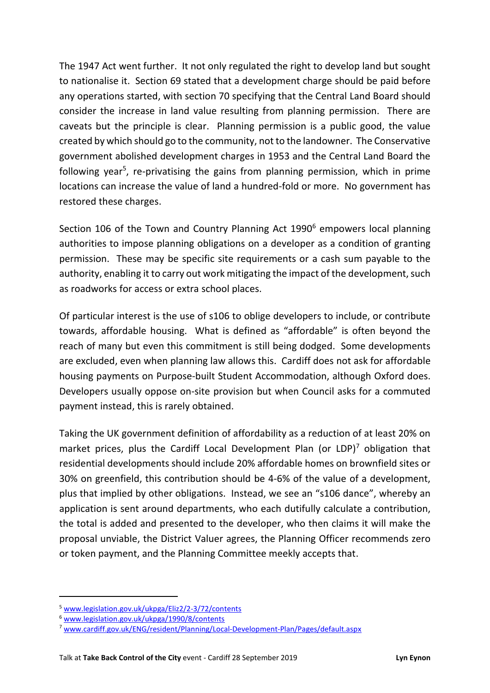The 1947 Act went further. It not only regulated the right to develop land but sought to nationalise it. Section 69 stated that a development charge should be paid before any operations started, with section 70 specifying that the Central Land Board should consider the increase in land value resulting from planning permission. There are caveats but the principle is clear. Planning permission is a public good, the value created by which should go to the community, not to the landowner. The Conservative government abolished development charges in 1953 and the Central Land Board the following year<sup>5</sup>, re-privatising the gains from planning permission, which in prime locations can increase the value of land a hundred-fold or more. No government has restored these charges.

Section 106 of the Town and Country Planning Act 1990<sup>6</sup> empowers local planning authorities to impose planning obligations on a developer as a condition of granting permission. These may be specific site requirements or a cash sum payable to the authority, enabling it to carry out work mitigating the impact of the development, such as roadworks for access or extra school places.

Of particular interest is the use of s106 to oblige developers to include, or contribute towards, affordable housing. What is defined as "affordable" is often beyond the reach of many but even this commitment is still being dodged. Some developments are excluded, even when planning law allows this. Cardiff does not ask for affordable housing payments on Purpose-built Student Accommodation, although Oxford does. Developers usually oppose on-site provision but when Council asks for a commuted payment instead, this is rarely obtained.

Taking the UK government definition of affordability as a reduction of at least 20% on market prices, plus the Cardiff Local Development Plan (or LDP)<sup>7</sup> obligation that residential developments should include 20% affordable homes on brownfield sites or 30% on greenfield, this contribution should be 4-6% of the value of a development, plus that implied by other obligations. Instead, we see an "s106 dance", whereby an application is sent around departments, who each dutifully calculate a contribution, the total is added and presented to the developer, who then claims it will make the proposal unviable, the District Valuer agrees, the Planning Officer recommends zero or token payment, and the Planning Committee meekly accepts that.

<sup>5</sup> www.legislation.gov.uk/ukpga/Eliz2/2-3/72/contents

<sup>6</sup> www.legislation.gov.uk/ukpga/1990/8/contents

<sup>7</sup> www.cardiff.gov.uk/ENG/resident/Planning/Local-Development-Plan/Pages/default.aspx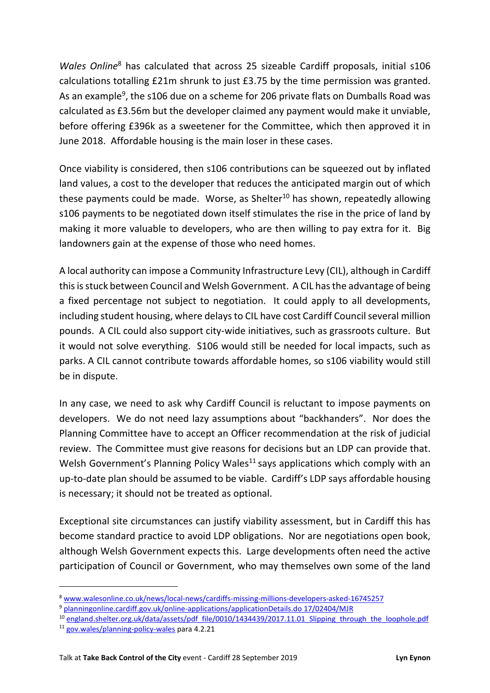*Wales Online*<sup>8</sup> has calculated that across 25 sizeable Cardiff proposals, initial s106 calculations totalling £21m shrunk to just £3.75 by the time permission was granted. As an example<sup>9</sup>, the s106 due on a scheme for 206 private flats on Dumballs Road was calculated as £3.56m but the developer claimed any payment would make it unviable, before offering £396k as a sweetener for the Committee, which then approved it in June 2018. Affordable housing is the main loser in these cases.

Once viability is considered, then s106 contributions can be squeezed out by inflated land values, a cost to the developer that reduces the anticipated margin out of which these payments could be made. Worse, as Shelter<sup>10</sup> has shown, repeatedly allowing s106 payments to be negotiated down itself stimulates the rise in the price of land by making it more valuable to developers, who are then willing to pay extra for it. Big landowners gain at the expense of those who need homes.

A local authority can impose a Community Infrastructure Levy (CIL), although in Cardiff this is stuck between Council and Welsh Government. A CIL has the advantage of being a fixed percentage not subject to negotiation. It could apply to all developments, including student housing, where delays to CIL have cost Cardiff Council several million pounds. A CIL could also support city-wide initiatives, such as grassroots culture. But it would not solve everything. S106 would still be needed for local impacts, such as parks. A CIL cannot contribute towards affordable homes, so s106 viability would still be in dispute.

In any case, we need to ask why Cardiff Council is reluctant to impose payments on developers. We do not need lazy assumptions about "backhanders". Nor does the Planning Committee have to accept an Officer recommendation at the risk of judicial review. The Committee must give reasons for decisions but an LDP can provide that. Welsh Government's Planning Policy Wales<sup>11</sup> says applications which comply with an up-to-date plan should be assumed to be viable. Cardiff's LDP says affordable housing is necessary; it should not be treated as optional.

Exceptional site circumstances can justify viability assessment, but in Cardiff this has become standard practice to avoid LDP obligations. Nor are negotiations open book, although Welsh Government expects this. Large developments often need the active participation of Council or Government, who may themselves own some of the land

<sup>8</sup> www.walesonline.co.uk/news/local-news/cardiffs-missing-millions-developers-asked-16745257

<sup>9</sup> planningonline.cardiff.gov.uk/online-applications/applicationDetails.do 17/02404/MJR

 $10$  england.shelter.org.uk/data/assets/pdf\_file/0010/1434439/2017.11.01\_Slipping\_through\_the\_loophole.pdf

<sup>11</sup> gov.wales/planning-policy-wales para 4.2.21